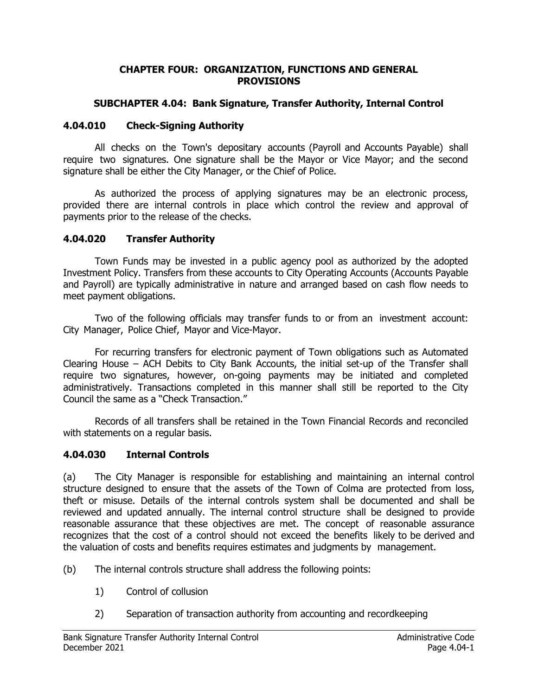#### **CHAPTER FOUR: ORGANIZATION, FUNCTIONS AND GENERAL PROVISIONS**

### **SUBCHAPTER 4.04: Bank Signature, Transfer Authority, Internal Control**

## **4.04.010 Check-Signing Authority**

All checks on the Town's depositary accounts (Payroll and Accounts Payable) shall require two signatures. One signature shall be the Mayor or Vice Mayor; and the second signature shall be either the City Manager, or the Chief of Police.

As authorized the process of applying signatures may be an electronic process, provided there are internal controls in place which control the review and approval of payments prior to the release of the checks.

# **4.04.020 Transfer Authority**

Town Funds may be invested in a public agency pool as authorized by the adopted Investment Policy. Transfers from these accounts to City Operating Accounts (Accounts Payable and Payroll) are typically administrative in nature and arranged based on cash flow needs to meet payment obligations.

Two of the following officials may transfer funds to or from an investment account: City Manager, Police Chief, Mayor and Vice-Mayor.

For recurring transfers for electronic payment of Town obligations such as Automated Clearing House – ACH Debits to City Bank Accounts, the initial set-up of the Transfer shall require two signatures, however, on-going payments may be initiated and completed administratively. Transactions completed in this manner shall still be reported to the City Council the same as a "Check Transaction."

Records of all transfers shall be retained in the Town Financial Records and reconciled with statements on a regular basis.

# **4.04.030 Internal Controls**

(a) The City Manager is responsible for establishing and maintaining an internal control structure designed to ensure that the assets of the Town of Colma are protected from loss, theft or misuse. Details of the internal controls system shall be documented and shall be reviewed and updated annually. The internal control structure shall be designed to provide reasonable assurance that these objectives are met. The concept of reasonable assurance recognizes that the cost of a control should not exceed the benefits likely to be derived and the valuation of costs and benefits requires estimates and judgments by management.

(b) The internal controls structure shall address the following points:

- 1) Control of collusion
- 2) Separation of transaction authority from accounting and recordkeeping